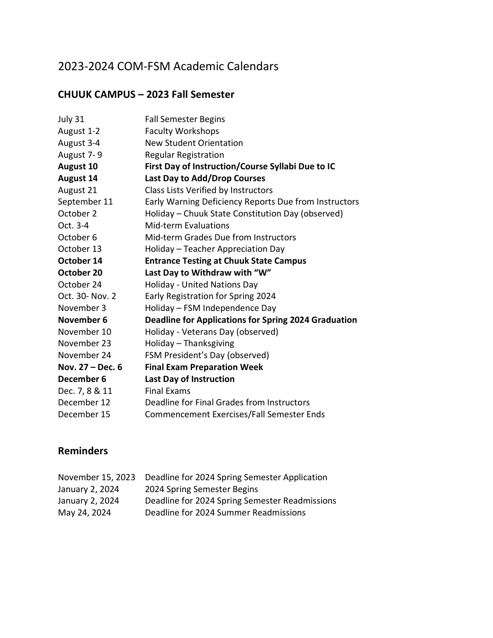# 2023-2024 COM-FSM Academic Calendars

#### **CHUUK CAMPUS – 2023 Fall Semester**

| July 31            | <b>Fall Semester Begins</b>                                 |
|--------------------|-------------------------------------------------------------|
| August 1-2         | <b>Faculty Workshops</b>                                    |
| August 3-4         | <b>New Student Orientation</b>                              |
| August 7-9         | <b>Regular Registration</b>                                 |
| <b>August 10</b>   | First Day of Instruction/Course Syllabi Due to IC           |
| <b>August 14</b>   | Last Day to Add/Drop Courses                                |
| August 21          | Class Lists Verified by Instructors                         |
| September 11       | Early Warning Deficiency Reports Due from Instructors       |
| October 2          | Holiday - Chuuk State Constitution Day (observed)           |
| Oct. 3-4           | <b>Mid-term Evaluations</b>                                 |
| October 6          | Mid-term Grades Due from Instructors                        |
| October 13         | Holiday - Teacher Appreciation Day                          |
| October 14         | <b>Entrance Testing at Chuuk State Campus</b>               |
|                    |                                                             |
| October 20         | Last Day to Withdraw with "W"                               |
| October 24         | Holiday - United Nations Day                                |
| Oct. 30- Nov. 2    | Early Registration for Spring 2024                          |
| November 3         | Holiday - FSM Independence Day                              |
| November 6         | <b>Deadline for Applications for Spring 2024 Graduation</b> |
| November 10        | Holiday - Veterans Day (observed)                           |
| November 23        | Holiday - Thanksgiving                                      |
| November 24        | FSM President's Day (observed)                              |
| Nov. $27 - Dec. 6$ | <b>Final Exam Preparation Week</b>                          |
| December 6         | <b>Last Day of Instruction</b>                              |
| Dec. 7, 8 & 11     | <b>Final Exams</b>                                          |
| December 12        | Deadline for Final Grades from Instructors                  |

| Deadline for 2024 Spring Semester Application  |
|------------------------------------------------|
| 2024 Spring Semester Begins                    |
| Deadline for 2024 Spring Semester Readmissions |
| Deadline for 2024 Summer Readmissions          |
|                                                |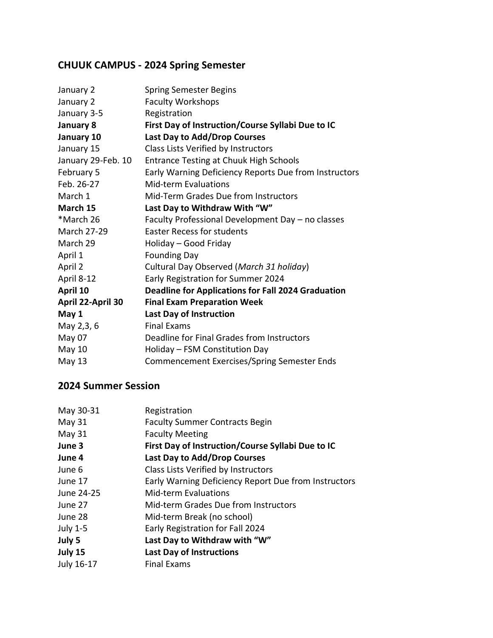## **CHUUK CAMPUS - 2024 Spring Semester**

| January 2          | Spring Semester Begins                                    |
|--------------------|-----------------------------------------------------------|
| January 2          | <b>Faculty Workshops</b>                                  |
| January 3-5        | Registration                                              |
| January 8          | First Day of Instruction/Course Syllabi Due to IC         |
| January 10         | Last Day to Add/Drop Courses                              |
| January 15         | Class Lists Verified by Instructors                       |
| January 29-Feb. 10 | <b>Entrance Testing at Chuuk High Schools</b>             |
| February 5         | Early Warning Deficiency Reports Due from Instructors     |
| Feb. 26-27         | Mid-term Evaluations                                      |
| March 1            | Mid-Term Grades Due from Instructors                      |
| March 15           | Last Day to Withdraw With "W"                             |
| *March 26          | Faculty Professional Development Day - no classes         |
| <b>March 27-29</b> | <b>Easter Recess for students</b>                         |
| March 29           | Holiday - Good Friday                                     |
| April 1            | <b>Founding Day</b>                                       |
| April 2            | Cultural Day Observed (March 31 holiday)                  |
| April 8-12         | Early Registration for Summer 2024                        |
| April 10           | <b>Deadline for Applications for Fall 2024 Graduation</b> |
| April 22-April 30  | <b>Final Exam Preparation Week</b>                        |
| May 1              | <b>Last Day of Instruction</b>                            |
| May 2,3, 6         | <b>Final Exams</b>                                        |
| May 07             | Deadline for Final Grades from Instructors                |
| May 10             | Holiday – FSM Constitution Day                            |
| May 13             | Commencement Exercises/Spring Semester Ends               |
|                    |                                                           |

#### **2024 Summer Session**

| May 30-31       | Registration                                         |
|-----------------|------------------------------------------------------|
| May 31          | <b>Faculty Summer Contracts Begin</b>                |
| May 31          | <b>Faculty Meeting</b>                               |
| June 3          | First Day of Instruction/Course Syllabi Due to IC    |
| June 4          | <b>Last Day to Add/Drop Courses</b>                  |
| June 6          | Class Lists Verified by Instructors                  |
| June 17         | Early Warning Deficiency Report Due from Instructors |
| June 24-25      | <b>Mid-term Evaluations</b>                          |
| June 27         | Mid-term Grades Due from Instructors                 |
| June 28         | Mid-term Break (no school)                           |
| <b>July 1-5</b> | Early Registration for Fall 2024                     |
| July 5          | Last Day to Withdraw with "W"                        |
| July 15         | <b>Last Day of Instructions</b>                      |
| July 16-17      | <b>Final Exams</b>                                   |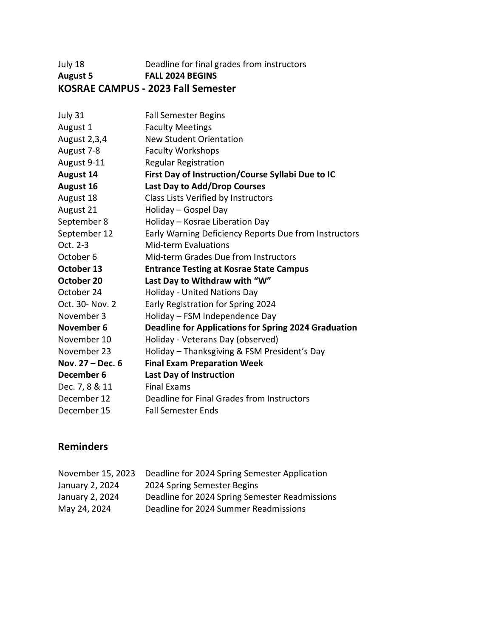#### July 18 Deadline for final grades from instructors **August 5 FALL 2024 BEGINS KOSRAE CAMPUS - 2023 Fall Semester**

| July 31            | <b>Fall Semester Begins</b>                                 |
|--------------------|-------------------------------------------------------------|
| August 1           | <b>Faculty Meetings</b>                                     |
| August 2,3,4       | <b>New Student Orientation</b>                              |
| August 7-8         | <b>Faculty Workshops</b>                                    |
| August 9-11        | <b>Regular Registration</b>                                 |
| <b>August 14</b>   | First Day of Instruction/Course Syllabi Due to IC           |
| August 16          | Last Day to Add/Drop Courses                                |
| August 18          | Class Lists Verified by Instructors                         |
| August 21          | Holiday - Gospel Day                                        |
| September 8        | Holiday - Kosrae Liberation Day                             |
| September 12       | Early Warning Deficiency Reports Due from Instructors       |
| Oct. 2-3           | <b>Mid-term Evaluations</b>                                 |
| October 6          | Mid-term Grades Due from Instructors                        |
| October 13         | <b>Entrance Testing at Kosrae State Campus</b>              |
| October 20         | Last Day to Withdraw with "W"                               |
| October 24         | Holiday - United Nations Day                                |
| Oct. 30- Nov. 2    | Early Registration for Spring 2024                          |
| November 3         | Holiday - FSM Independence Day                              |
| November 6         | <b>Deadline for Applications for Spring 2024 Graduation</b> |
| November 10        | Holiday - Veterans Day (observed)                           |
| November 23        | Holiday - Thanksgiving & FSM President's Day                |
| Nov. $27 - Dec. 6$ | <b>Final Exam Preparation Week</b>                          |
| December 6         | <b>Last Day of Instruction</b>                              |
| Dec. 7, 8 & 11     | <b>Final Exams</b>                                          |
| December 12        | Deadline for Final Grades from Instructors                  |
| December 15        | <b>Fall Semester Ends</b>                                   |
|                    |                                                             |

| November 15, 2023 | Deadline for 2024 Spring Semester Application  |
|-------------------|------------------------------------------------|
| January 2, 2024   | 2024 Spring Semester Begins                    |
| January 2, 2024   | Deadline for 2024 Spring Semester Readmissions |
| May 24, 2024      | Deadline for 2024 Summer Readmissions          |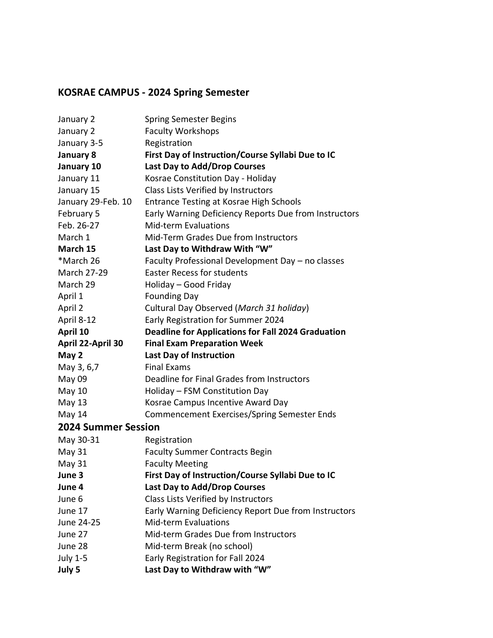## **KOSRAE CAMPUS - 2024 Spring Semester**

| January 2                  | <b>Spring Semester Begins</b>                             |
|----------------------------|-----------------------------------------------------------|
| January 2                  | <b>Faculty Workshops</b>                                  |
| January 3-5                | Registration                                              |
| January 8                  | First Day of Instruction/Course Syllabi Due to IC         |
| January 10                 | Last Day to Add/Drop Courses                              |
| January 11                 | Kosrae Constitution Day - Holiday                         |
| January 15                 | Class Lists Verified by Instructors                       |
| January 29-Feb. 10         | <b>Entrance Testing at Kosrae High Schools</b>            |
| February 5                 | Early Warning Deficiency Reports Due from Instructors     |
| Feb. 26-27                 | <b>Mid-term Evaluations</b>                               |
| March 1                    | Mid-Term Grades Due from Instructors                      |
| March 15                   | Last Day to Withdraw With "W"                             |
| *March 26                  | Faculty Professional Development Day - no classes         |
| <b>March 27-29</b>         | <b>Easter Recess for students</b>                         |
| March 29                   | Holiday - Good Friday                                     |
| April 1                    | <b>Founding Day</b>                                       |
| April 2                    | Cultural Day Observed (March 31 holiday)                  |
| April 8-12                 | Early Registration for Summer 2024                        |
| April 10                   | <b>Deadline for Applications for Fall 2024 Graduation</b> |
| April 22-April 30          | <b>Final Exam Preparation Week</b>                        |
| May 2                      | Last Day of Instruction                                   |
| May 3, 6,7                 | <b>Final Exams</b>                                        |
| May 09                     | Deadline for Final Grades from Instructors                |
| <b>May 10</b>              | Holiday - FSM Constitution Day                            |
| May 13                     | Kosrae Campus Incentive Award Day                         |
| May 14                     | Commencement Exercises/Spring Semester Ends               |
| <b>2024 Summer Session</b> |                                                           |
| May 30-31                  | Registration                                              |
| May 31                     | <b>Faculty Summer Contracts Begin</b>                     |
| May 31                     | <b>Faculty Meeting</b>                                    |
| June 3                     | First Day of Instruction/Course Syllabi Due to IC         |
| June 4                     | Last Day to Add/Drop Courses                              |
| June 6                     | Class Lists Verified by Instructors                       |
| June 17                    | Early Warning Deficiency Report Due from Instructors      |
| June 24-25                 | <b>Mid-term Evaluations</b>                               |
| June 27                    | Mid-term Grades Due from Instructors                      |
| June 28                    | Mid-term Break (no school)                                |
| <b>July 1-5</b>            | Early Registration for Fall 2024                          |
| July 5                     | Last Day to Withdraw with "W"                             |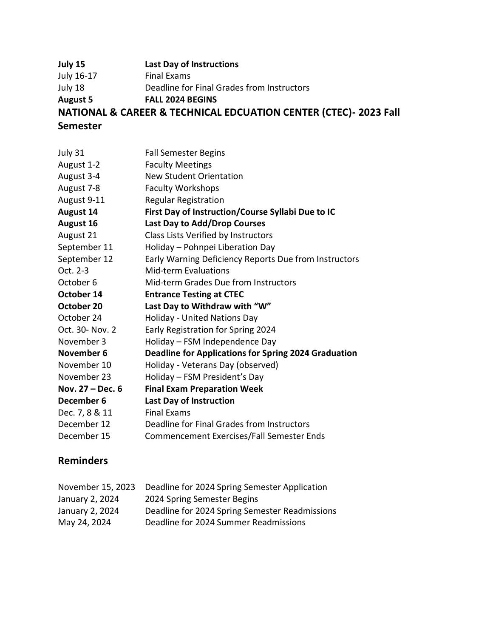**July 15 Last Day of Instructions** July 16-17 Final Exams July 18 Deadline for Final Grades from Instructors **August 5 FALL 2024 BEGINS NATIONAL & CAREER & TECHNICAL EDCUATION CENTER (CTEC)- 2023 Fall Semester**

| July 31            | <b>Fall Semester Begins</b>                                 |
|--------------------|-------------------------------------------------------------|
| August 1-2         | <b>Faculty Meetings</b>                                     |
| August 3-4         | <b>New Student Orientation</b>                              |
| August 7-8         | <b>Faculty Workshops</b>                                    |
| August 9-11        | <b>Regular Registration</b>                                 |
| <b>August 14</b>   | First Day of Instruction/Course Syllabi Due to IC           |
| August 16          | <b>Last Day to Add/Drop Courses</b>                         |
| August 21          | Class Lists Verified by Instructors                         |
| September 11       | Holiday - Pohnpei Liberation Day                            |
| September 12       | Early Warning Deficiency Reports Due from Instructors       |
| Oct. 2-3           | <b>Mid-term Evaluations</b>                                 |
| October 6          | Mid-term Grades Due from Instructors                        |
| October 14         | <b>Entrance Testing at CTEC</b>                             |
| October 20         | Last Day to Withdraw with "W"                               |
| October 24         | Holiday - United Nations Day                                |
| Oct. 30- Nov. 2    | Early Registration for Spring 2024                          |
| November 3         | Holiday - FSM Independence Day                              |
| November 6         | <b>Deadline for Applications for Spring 2024 Graduation</b> |
| November 10        | Holiday - Veterans Day (observed)                           |
| November 23        | Holiday - FSM President's Day                               |
| Nov. $27 - Dec. 6$ | <b>Final Exam Preparation Week</b>                          |
| December 6         | <b>Last Day of Instruction</b>                              |
| Dec. 7, 8 & 11     | <b>Final Exams</b>                                          |
| December 12        | Deadline for Final Grades from Instructors                  |
| December 15        | Commencement Exercises/Fall Semester Ends                   |

|                 | November 15, 2023 Deadline for 2024 Spring Semester Application |
|-----------------|-----------------------------------------------------------------|
| January 2, 2024 | 2024 Spring Semester Begins                                     |
| January 2, 2024 | Deadline for 2024 Spring Semester Readmissions                  |
| May 24, 2024    | Deadline for 2024 Summer Readmissions                           |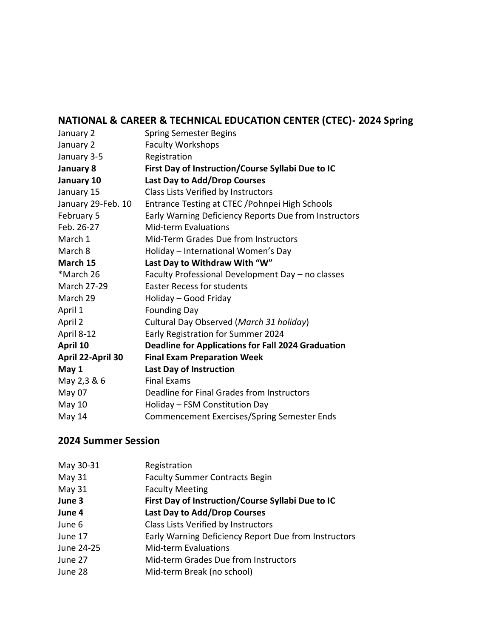## **NATIONAL & CAREER & TECHNICAL EDUCATION CENTER (CTEC)- 2024 Spring**

| <b>Spring Semester Begins</b>                             |
|-----------------------------------------------------------|
| <b>Faculty Workshops</b>                                  |
| Registration                                              |
| First Day of Instruction/Course Syllabi Due to IC         |
| Last Day to Add/Drop Courses                              |
| Class Lists Verified by Instructors                       |
| Entrance Testing at CTEC / Pohnpei High Schools           |
| Early Warning Deficiency Reports Due from Instructors     |
| <b>Mid-term Evaluations</b>                               |
| Mid-Term Grades Due from Instructors                      |
| Holiday - International Women's Day                       |
| Last Day to Withdraw With "W"                             |
| Faculty Professional Development Day - no classes         |
| <b>Easter Recess for students</b>                         |
| Holiday - Good Friday                                     |
| <b>Founding Day</b>                                       |
| Cultural Day Observed (March 31 holiday)                  |
| Early Registration for Summer 2024                        |
| <b>Deadline for Applications for Fall 2024 Graduation</b> |
| <b>Final Exam Preparation Week</b>                        |
| <b>Last Day of Instruction</b>                            |
| <b>Final Exams</b>                                        |
| Deadline for Final Grades from Instructors                |
| Holiday - FSM Constitution Day                            |
| Commencement Exercises/Spring Semester Ends               |
|                                                           |

### **2024 Summer Session**

| May 30-31  | Registration                                         |
|------------|------------------------------------------------------|
| May 31     | <b>Faculty Summer Contracts Begin</b>                |
| May 31     | <b>Faculty Meeting</b>                               |
| June 3     | First Day of Instruction/Course Syllabi Due to IC    |
| June 4     | Last Day to Add/Drop Courses                         |
| June 6     | Class Lists Verified by Instructors                  |
| June 17    | Early Warning Deficiency Report Due from Instructors |
| June 24-25 | <b>Mid-term Evaluations</b>                          |
| June 27    | Mid-term Grades Due from Instructors                 |
| June 28    | Mid-term Break (no school)                           |
|            |                                                      |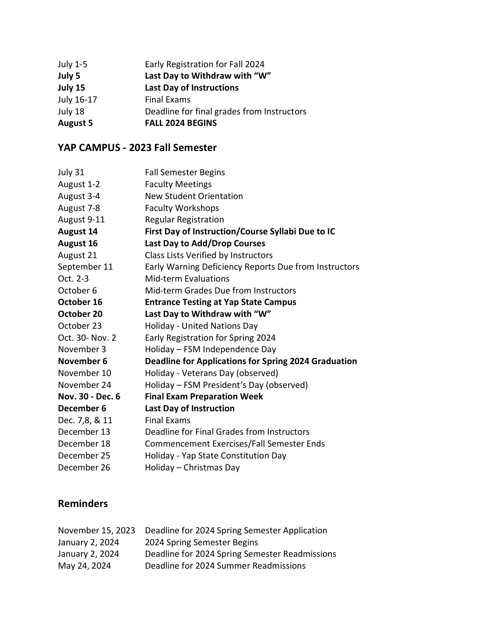| July 1-5        | Early Registration for Fall 2024           |
|-----------------|--------------------------------------------|
| July 5          | Last Day to Withdraw with "W"              |
| July 15         | <b>Last Day of Instructions</b>            |
| July 16-17      | <b>Final Exams</b>                         |
| July 18         | Deadline for final grades from Instructors |
| <b>August 5</b> | <b>FALL 2024 BEGINS</b>                    |

#### **YAP CAMPUS - 2023 Fall Semester**

| July 31          | <b>Fall Semester Begins</b>                                 |
|------------------|-------------------------------------------------------------|
| August 1-2       | <b>Faculty Meetings</b>                                     |
| August 3-4       | <b>New Student Orientation</b>                              |
| August 7-8       | <b>Faculty Workshops</b>                                    |
| August 9-11      | <b>Regular Registration</b>                                 |
| <b>August 14</b> | First Day of Instruction/Course Syllabi Due to IC           |
| <b>August 16</b> | Last Day to Add/Drop Courses                                |
| August 21        | Class Lists Verified by Instructors                         |
| September 11     | Early Warning Deficiency Reports Due from Instructors       |
| Oct. 2-3         | <b>Mid-term Evaluations</b>                                 |
| October 6        | Mid-term Grades Due from Instructors                        |
| October 16       | <b>Entrance Testing at Yap State Campus</b>                 |
| October 20       | Last Day to Withdraw with "W"                               |
| October 23       | Holiday - United Nations Day                                |
| Oct. 30- Nov. 2  | Early Registration for Spring 2024                          |
| November 3       | Holiday - FSM Independence Day                              |
| November 6       | <b>Deadline for Applications for Spring 2024 Graduation</b> |
| November 10      | Holiday - Veterans Day (observed)                           |
| November 24      | Holiday - FSM President's Day (observed)                    |
| Nov. 30 - Dec. 6 | <b>Final Exam Preparation Week</b>                          |
| December 6       | <b>Last Day of Instruction</b>                              |
| Dec. 7,8, & 11   | <b>Final Exams</b>                                          |
| December 13      | Deadline for Final Grades from Instructors                  |
| December 18      | Commencement Exercises/Fall Semester Ends                   |
| December 25      | Holiday - Yap State Constitution Day                        |
| December 26      | Holiday - Christmas Day                                     |

| November 15, 2023 | Deadline for 2024 Spring Semester Application  |
|-------------------|------------------------------------------------|
| January 2, 2024   | 2024 Spring Semester Begins                    |
| January 2, 2024   | Deadline for 2024 Spring Semester Readmissions |
| May 24, 2024      | Deadline for 2024 Summer Readmissions          |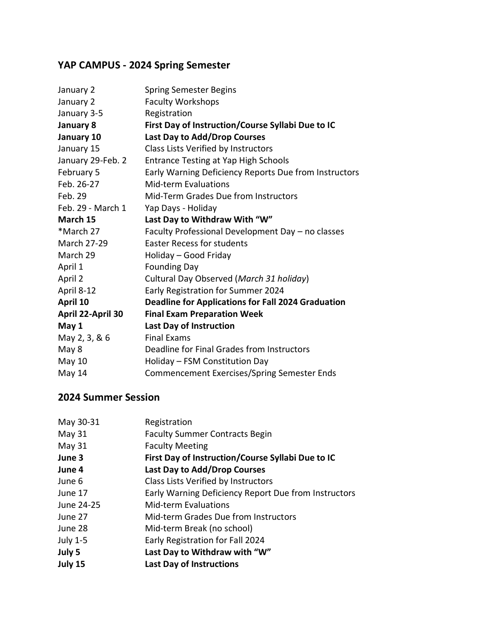## **YAP CAMPUS - 2024 Spring Semester**

| January 2         | <b>Spring Semester Begins</b>                             |
|-------------------|-----------------------------------------------------------|
| January 2         | <b>Faculty Workshops</b>                                  |
| January 3-5       | Registration                                              |
| January 8         | First Day of Instruction/Course Syllabi Due to IC         |
| January 10        | Last Day to Add/Drop Courses                              |
| January 15        | Class Lists Verified by Instructors                       |
| January 29-Feb. 2 | <b>Entrance Testing at Yap High Schools</b>               |
| February 5        | Early Warning Deficiency Reports Due from Instructors     |
| Feb. 26-27        | <b>Mid-term Evaluations</b>                               |
| Feb. 29           | Mid-Term Grades Due from Instructors                      |
| Feb. 29 - March 1 | Yap Days - Holiday                                        |
| March 15          | Last Day to Withdraw With "W"                             |
| *March 27         | Faculty Professional Development Day - no classes         |
| March 27-29       | <b>Easter Recess for students</b>                         |
| March 29          | Holiday - Good Friday                                     |
| April 1           | <b>Founding Day</b>                                       |
| April 2           | Cultural Day Observed (March 31 holiday)                  |
| April 8-12        | Early Registration for Summer 2024                        |
| April 10          | <b>Deadline for Applications for Fall 2024 Graduation</b> |
| April 22-April 30 | <b>Final Exam Preparation Week</b>                        |
| May 1             | <b>Last Day of Instruction</b>                            |
| May 2, 3, & 6     | <b>Final Exams</b>                                        |
| May 8             | Deadline for Final Grades from Instructors                |
| May 10            | Holiday - FSM Constitution Day                            |
| May 14            | <b>Commencement Exercises/Spring Semester Ends</b>        |
|                   |                                                           |

#### **2024 Summer Session**

| May 30-31       | Registration                                         |
|-----------------|------------------------------------------------------|
| May $31$        | <b>Faculty Summer Contracts Begin</b>                |
| May $31$        | <b>Faculty Meeting</b>                               |
| June 3          | First Day of Instruction/Course Syllabi Due to IC    |
| June 4          | Last Day to Add/Drop Courses                         |
| June 6          | Class Lists Verified by Instructors                  |
| June 17         | Early Warning Deficiency Report Due from Instructors |
| June 24-25      | Mid-term Evaluations                                 |
| June 27         | Mid-term Grades Due from Instructors                 |
| June 28         | Mid-term Break (no school)                           |
| <b>July 1-5</b> | Early Registration for Fall 2024                     |
| July 5          | Last Day to Withdraw with "W"                        |
| July 15         | <b>Last Day of Instructions</b>                      |